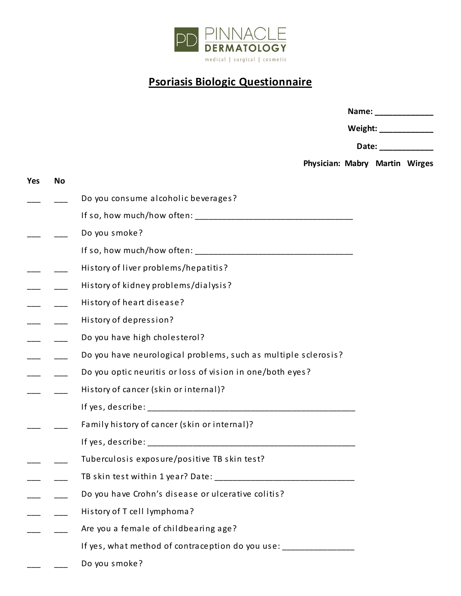

## **Psoriasis Biologic Questionnaire**

|                                                                    |                                | Name: _________________ |                       |
|--------------------------------------------------------------------|--------------------------------|-------------------------|-----------------------|
|                                                                    |                                |                         | Weight: _____________ |
|                                                                    |                                | Date: _____________     |                       |
|                                                                    | Physician: Mabry Martin Wirges |                         |                       |
|                                                                    |                                |                         |                       |
| Do you consume alcoholic beverages?                                |                                |                         |                       |
|                                                                    |                                |                         |                       |
| Do you smoke?                                                      |                                |                         |                       |
|                                                                    |                                |                         |                       |
| History of liver problems/hepatitis?                               |                                |                         |                       |
| History of kidney problems/dialysis?                               |                                |                         |                       |
| History of heart disease?                                          |                                |                         |                       |
| History of depression?                                             |                                |                         |                       |
| Do you have high cholesterol?                                      |                                |                         |                       |
| Do you have neurological problems, such as multiple sclerosis?     |                                |                         |                       |
| Do you optic neuritis or loss of vision in one/both eyes?          |                                |                         |                       |
| History of cancer (skin or internal)?                              |                                |                         |                       |
|                                                                    |                                |                         |                       |
| Family history of cancer (skin or internal)?                       |                                |                         |                       |
| If yes, describe:                                                  |                                |                         |                       |
| Tuberculosis exposure/positive TB skin test?                       |                                |                         |                       |
|                                                                    |                                |                         |                       |
| Do you have Crohn's disease or ulcerative colitis?                 |                                |                         |                       |
| History of T cell lymphoma?                                        |                                |                         |                       |
| Are you a female of childbearing age?                              |                                |                         |                       |
| If yes, what method of contraception do you use: _________________ |                                |                         |                       |

Do you smoke?  $\frac{1}{1}$ 

Yes

 $\overline{\phantom{a}}$ 

 $\overline{\phantom{a}}$ 

 $\overline{\phantom{0}}$ 

**No** 

 $\frac{1}{1}$ 

 $\frac{1}{1}$ 

 $\overline{\phantom{a}}$ 

 $\overline{\phantom{a}}$ 

 $\overline{\phantom{0}}$ 

 $\frac{1}{2}$ 

 $\overline{\phantom{a}}$ 

\_\_\_\_\_\_

 $\overline{\phantom{0}}$ 

 $\overline{\phantom{0}}$ 

— —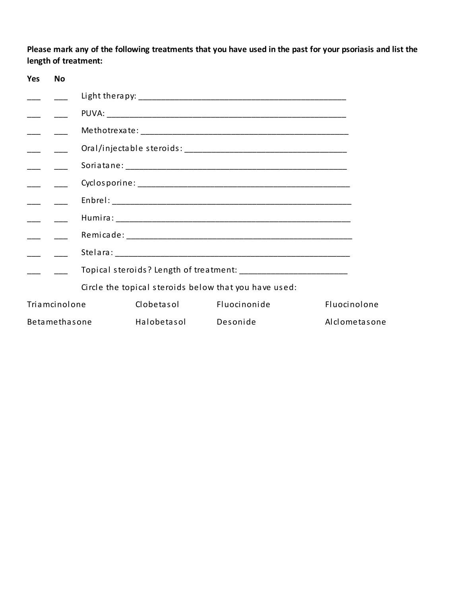Please mark any of the following treatments that you have used in the past for your psoriasis and list the length of treatment:

| <b>Yes</b><br><b>No</b> |             |                                                       |               |
|-------------------------|-------------|-------------------------------------------------------|---------------|
|                         |             |                                                       |               |
|                         |             |                                                       |               |
|                         |             |                                                       |               |
|                         |             |                                                       |               |
|                         |             |                                                       |               |
|                         |             |                                                       |               |
|                         |             |                                                       |               |
|                         |             |                                                       |               |
|                         |             |                                                       |               |
|                         |             |                                                       |               |
|                         |             |                                                       |               |
|                         |             | Circle the topical steroids below that you have used: |               |
| Triamcinolone           | Clobetasol  | Fluocinonide                                          | Fluocinolone  |
| Betamethasone           | Halobetasol | Desonide                                              | Alclometasone |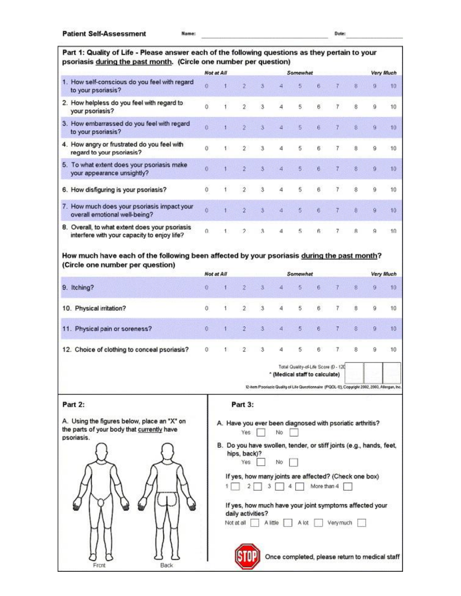## Part 1: Quality of Life - Please answer each of the following questions as they pertain to your psoriasis during the past month. (Circle one number per question)

|    |                                                                                               | Not at All |                  |            |   | Somewhat |     |   |   | <b>Very Much</b> |
|----|-----------------------------------------------------------------------------------------------|------------|------------------|------------|---|----------|-----|---|---|------------------|
|    | 1. How self-conscious do you feel with regard<br>to your psoriasis?                           | o          |                  |            |   |          |     |   |   |                  |
|    | 2. How helpless do you feel with regard to<br>your psoriasis?                                 | ō          | $\overline{2}$   | $\ddot{3}$ | 4 | 5        | 6   |   |   | 10               |
|    | 3. How embarrassed do you feel with regard<br>to your psoriasis?                              |            |                  |            |   | 5.       | - 6 |   |   |                  |
|    | 4. How angry or frustrated do you feel with<br>regard to your psoriasis?                      | Ŭ          |                  | 3          | 4 | 5        |     |   |   | 10               |
| 5. | To what extent does your psoriasis make<br>your appearance unsightly?                         |            |                  |            |   |          |     |   |   |                  |
|    | 6. How disfiguring is your psoriasis?                                                         | 0          | $\boldsymbol{2}$ | $\sqrt{3}$ | 4 | 5        | 6   | 8 | 9 | 10               |
|    | 7. How much does your psoriasis impact your<br>overall emotional well-being?                  |            |                  |            |   |          |     |   |   | 10               |
|    | 8. Overall, to what extent does your psoriasis<br>interfere with your capacity to enjoy life? | $\Omega$   |                  | 3          |   | 5        |     |   |   | 10               |

## How much have each of the following been affected by your psoriasis during the past month? (Circle one number per question)

|                                              | Not at All |  |  |  |  | Very Much |
|----------------------------------------------|------------|--|--|--|--|-----------|
| 9. Itching?                                  |            |  |  |  |  |           |
| 10. Physical irritation?                     |            |  |  |  |  |           |
| 11. Physical pain or soreness?               |            |  |  |  |  |           |
| 12. Choice of clothing to conceal psoriasis? |            |  |  |  |  |           |

Total Quality-of-Life Score (0 - 120 " (Medical staff to calculate)

12-item Psoriasis Quality of Life Questionnaire (PQOL-12), Copyright 2002, 2003, Allergan, Inc.

| Part 2:                                                                                                 | Part 3:                                                                                                                     |
|---------------------------------------------------------------------------------------------------------|-----------------------------------------------------------------------------------------------------------------------------|
| A. Using the figures below, place an "X" on<br>the parts of your body that currently have<br>psoriasis. | A. Have you ever been diagnosed with psoriatic arthritis?<br>Yes<br>No                                                      |
|                                                                                                         | B. Do you have swollen, tender, or stiff joints (e.g., hands, feet,<br>hips, back)?<br>Yes.<br>No                           |
|                                                                                                         | If yes, how many joints are affected? (Check one box)<br>More than 4                                                        |
|                                                                                                         | If yes, how much have your joint symptoms affected your<br>daily activities?<br>Not at all<br>Very much<br>A little<br>A KX |
| Back<br>Front                                                                                           | Once completed, please return to medical staff                                                                              |

T